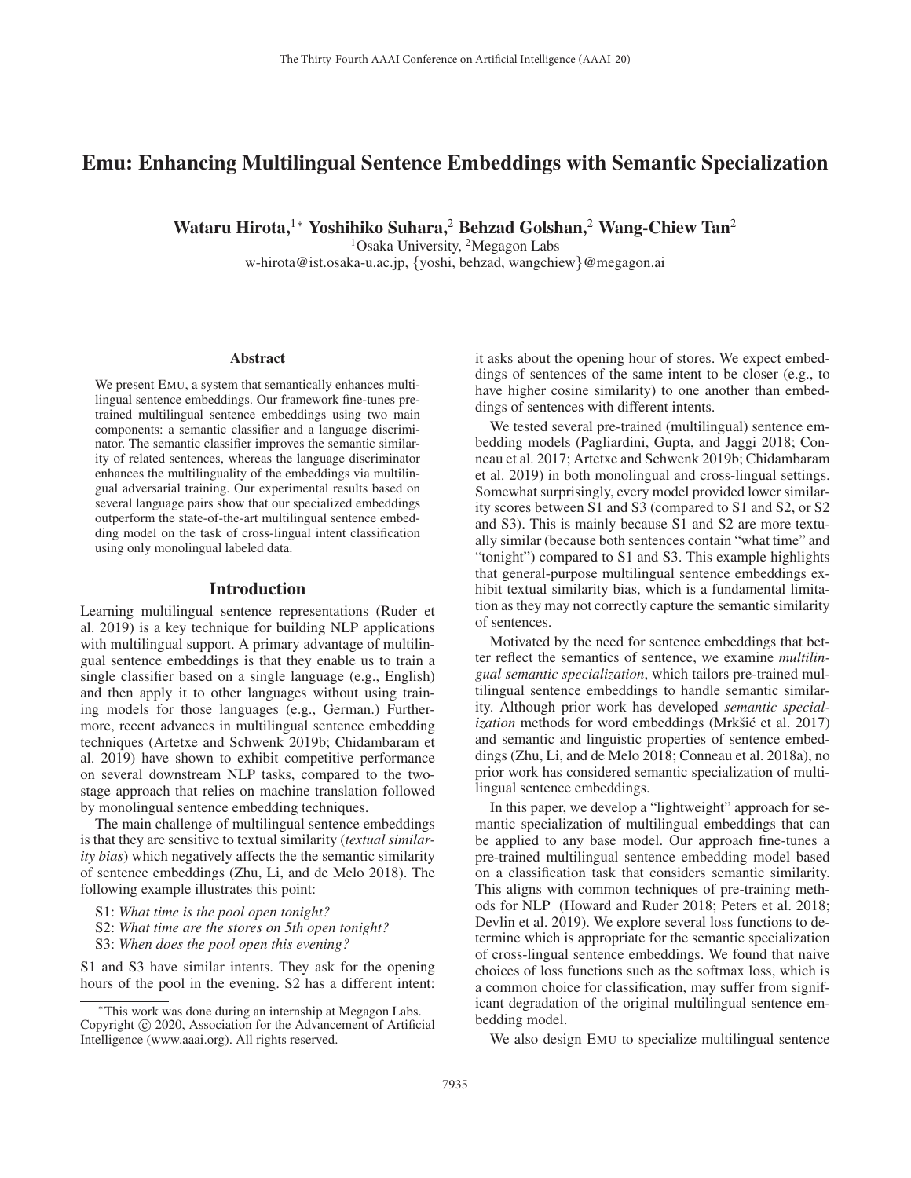# Emu: Enhancing Multilingual Sentence Embeddings with Semantic Specialization

Wataru Hirota,<sup>1</sup>\* Yoshihiko Suhara,<sup>2</sup> Behzad Golshan,<sup>2</sup> Wang-Chiew Tan<sup>2</sup>

<sup>1</sup>Osaka University, <sup>2</sup>Megagon Labs

w-hirota@ist.osaka-u.ac.jp, {yoshi, behzad, wangchiew}@megagon.ai

#### Abstract

We present EMU, a system that semantically enhances multilingual sentence embeddings. Our framework fine-tunes pretrained multilingual sentence embeddings using two main components: a semantic classifier and a language discriminator. The semantic classifier improves the semantic similarity of related sentences, whereas the language discriminator enhances the multilinguality of the embeddings via multilingual adversarial training. Our experimental results based on several language pairs show that our specialized embeddings outperform the state-of-the-art multilingual sentence embedding model on the task of cross-lingual intent classification using only monolingual labeled data.

#### Introduction

Learning multilingual sentence representations (Ruder et al. 2019) is a key technique for building NLP applications with multilingual support. A primary advantage of multilingual sentence embeddings is that they enable us to train a single classifier based on a single language (e.g., English) and then apply it to other languages without using training models for those languages (e.g., German.) Furthermore, recent advances in multilingual sentence embedding techniques (Artetxe and Schwenk 2019b; Chidambaram et al. 2019) have shown to exhibit competitive performance on several downstream NLP tasks, compared to the twostage approach that relies on machine translation followed by monolingual sentence embedding techniques.

The main challenge of multilingual sentence embeddings is that they are sensitive to textual similarity (*textual similarity bias*) which negatively affects the the semantic similarity of sentence embeddings (Zhu, Li, and de Melo 2018). The following example illustrates this point:

- S1: *What time is the pool open tonight?*
- S2: *What time are the stores on 5th open tonight?*
- S3: *When does the pool open this evening?*

S1 and S3 have similar intents. They ask for the opening hours of the pool in the evening. S2 has a different intent:

it asks about the opening hour of stores. We expect embeddings of sentences of the same intent to be closer (e.g., to have higher cosine similarity) to one another than embeddings of sentences with different intents.

We tested several pre-trained (multilingual) sentence embedding models (Pagliardini, Gupta, and Jaggi 2018; Conneau et al. 2017; Artetxe and Schwenk 2019b; Chidambaram et al. 2019) in both monolingual and cross-lingual settings. Somewhat surprisingly, every model provided lower similarity scores between S1 and S3 (compared to S1 and S2, or S2 and S3). This is mainly because S1 and S2 are more textually similar (because both sentences contain "what time" and "tonight") compared to S1 and S3. This example highlights that general-purpose multilingual sentence embeddings exhibit textual similarity bias, which is a fundamental limitation as they may not correctly capture the semantic similarity of sentences.

Motivated by the need for sentence embeddings that better reflect the semantics of sentence, we examine *multilingual semantic specialization*, which tailors pre-trained multilingual sentence embeddings to handle semantic similarity. Although prior work has developed *semantic specialization* methods for word embeddings (Mrkšić et al. 2017) and semantic and linguistic properties of sentence embeddings (Zhu, Li, and de Melo 2018; Conneau et al. 2018a), no prior work has considered semantic specialization of multilingual sentence embeddings.

In this paper, we develop a "lightweight" approach for semantic specialization of multilingual embeddings that can be applied to any base model. Our approach fine-tunes a pre-trained multilingual sentence embedding model based on a classification task that considers semantic similarity. This aligns with common techniques of pre-training methods for NLP (Howard and Ruder 2018; Peters et al. 2018; Devlin et al. 2019). We explore several loss functions to determine which is appropriate for the semantic specialization of cross-lingual sentence embeddings. We found that naive choices of loss functions such as the softmax loss, which is a common choice for classification, may suffer from significant degradation of the original multilingual sentence embedding model.

We also design EMU to specialize multilingual sentence

<sup>∗</sup>This work was done during an internship at Megagon Labs. Copyright  $\odot$  2020, Association for the Advancement of Artificial Intelligence (www.aaai.org). All rights reserved.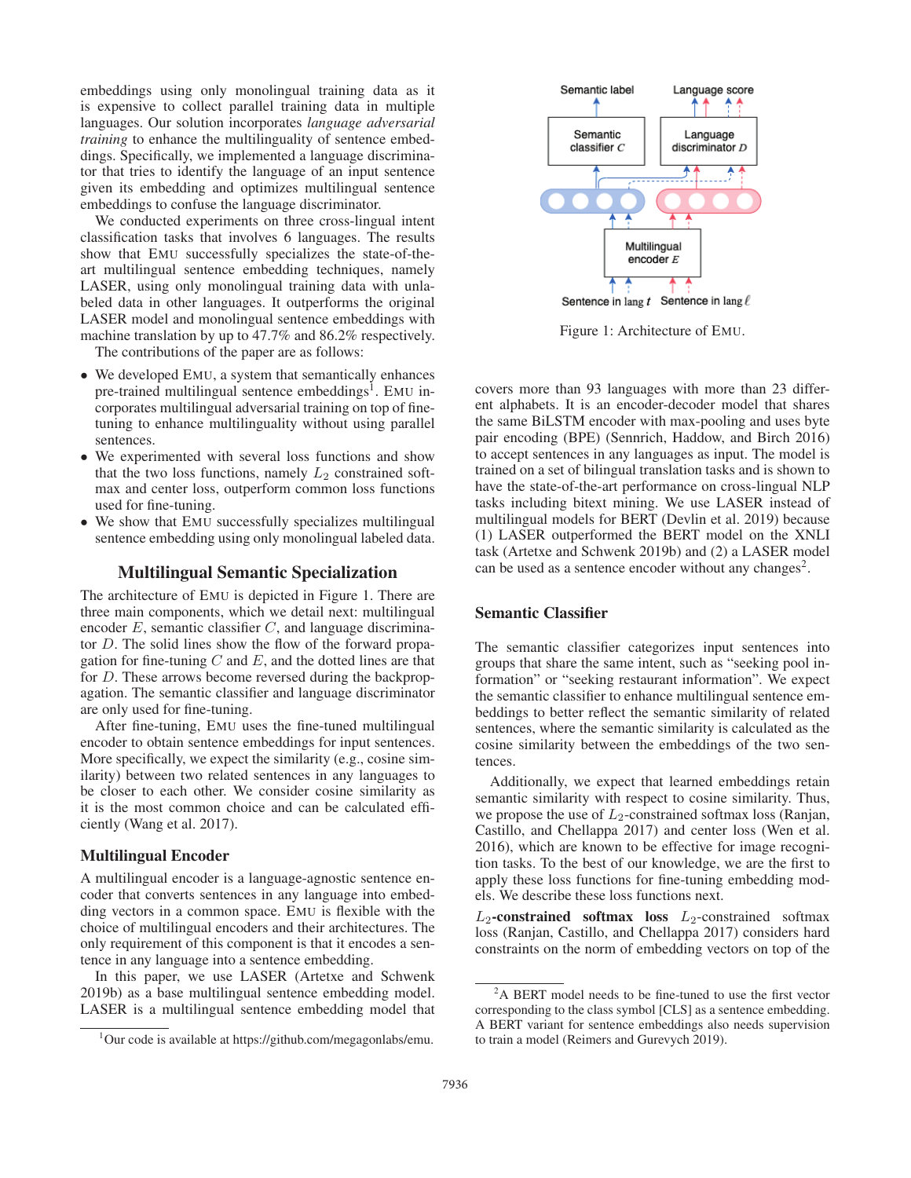embeddings using only monolingual training data as it is expensive to collect parallel training data in multiple languages. Our solution incorporates *language adversarial training* to enhance the multilinguality of sentence embeddings. Specifically, we implemented a language discriminator that tries to identify the language of an input sentence given its embedding and optimizes multilingual sentence embeddings to confuse the language discriminator.

We conducted experiments on three cross-lingual intent classification tasks that involves 6 languages. The results show that EMU successfully specializes the state-of-theart multilingual sentence embedding techniques, namely LASER, using only monolingual training data with unlabeled data in other languages. It outperforms the original LASER model and monolingual sentence embeddings with machine translation by up to 47.7% and 86.2% respectively.

The contributions of the paper are as follows:

- We developed EMU, a system that semantically enhances pre-trained multilingual sentence embeddings<sup>1</sup>. EMU incorporates multilingual adversarial training on top of finetuning to enhance multilinguality without using parallel sentences.
- We experimented with several loss functions and show that the two loss functions, namely  $L_2$  constrained softmax and center loss, outperform common loss functions used for fine-tuning.
- We show that EMU successfully specializes multilingual sentence embedding using only monolingual labeled data.

### Multilingual Semantic Specialization

The architecture of EMU is depicted in Figure 1. There are three main components, which we detail next: multilingual encoder  $E$ , semantic classifier  $C$ , and language discriminator D. The solid lines show the flow of the forward propagation for fine-tuning  $C$  and  $E$ , and the dotted lines are that for D. These arrows become reversed during the backpropagation. The semantic classifier and language discriminator are only used for fine-tuning.

After fine-tuning, EMU uses the fine-tuned multilingual encoder to obtain sentence embeddings for input sentences. More specifically, we expect the similarity (e.g., cosine similarity) between two related sentences in any languages to be closer to each other. We consider cosine similarity as it is the most common choice and can be calculated efficiently (Wang et al. 2017).

#### Multilingual Encoder

A multilingual encoder is a language-agnostic sentence encoder that converts sentences in any language into embedding vectors in a common space. EMU is flexible with the choice of multilingual encoders and their architectures. The only requirement of this component is that it encodes a sentence in any language into a sentence embedding.

In this paper, we use LASER (Artetxe and Schwenk 2019b) as a base multilingual sentence embedding model. LASER is a multilingual sentence embedding model that



Figure 1: Architecture of EMU.

covers more than 93 languages with more than 23 different alphabets. It is an encoder-decoder model that shares the same BiLSTM encoder with max-pooling and uses byte pair encoding (BPE) (Sennrich, Haddow, and Birch 2016) to accept sentences in any languages as input. The model is trained on a set of bilingual translation tasks and is shown to have the state-of-the-art performance on cross-lingual NLP tasks including bitext mining. We use LASER instead of multilingual models for BERT (Devlin et al. 2019) because (1) LASER outperformed the BERT model on the XNLI task (Artetxe and Schwenk 2019b) and (2) a LASER model can be used as a sentence encoder without any changes<sup>2</sup>.

### Semantic Classifier

The semantic classifier categorizes input sentences into groups that share the same intent, such as "seeking pool information" or "seeking restaurant information". We expect the semantic classifier to enhance multilingual sentence embeddings to better reflect the semantic similarity of related sentences, where the semantic similarity is calculated as the cosine similarity between the embeddings of the two sentences.

Additionally, we expect that learned embeddings retain semantic similarity with respect to cosine similarity. Thus, we propose the use of  $L_2$ -constrained softmax loss (Ranjan, Castillo, and Chellappa 2017) and center loss (Wen et al. 2016), which are known to be effective for image recognition tasks. To the best of our knowledge, we are the first to apply these loss functions for fine-tuning embedding models. We describe these loss functions next.

 $L_2$ -constrained softmax loss  $L_2$ -constrained softmax loss (Ranjan, Castillo, and Chellappa 2017) considers hard constraints on the norm of embedding vectors on top of the

<sup>&</sup>lt;sup>1</sup>Our code is available at https://github.com/megagonlabs/emu.

<sup>&</sup>lt;sup>2</sup>A BERT model needs to be fine-tuned to use the first vector corresponding to the class symbol [CLS] as a sentence embedding. A BERT variant for sentence embeddings also needs supervision to train a model (Reimers and Gurevych 2019).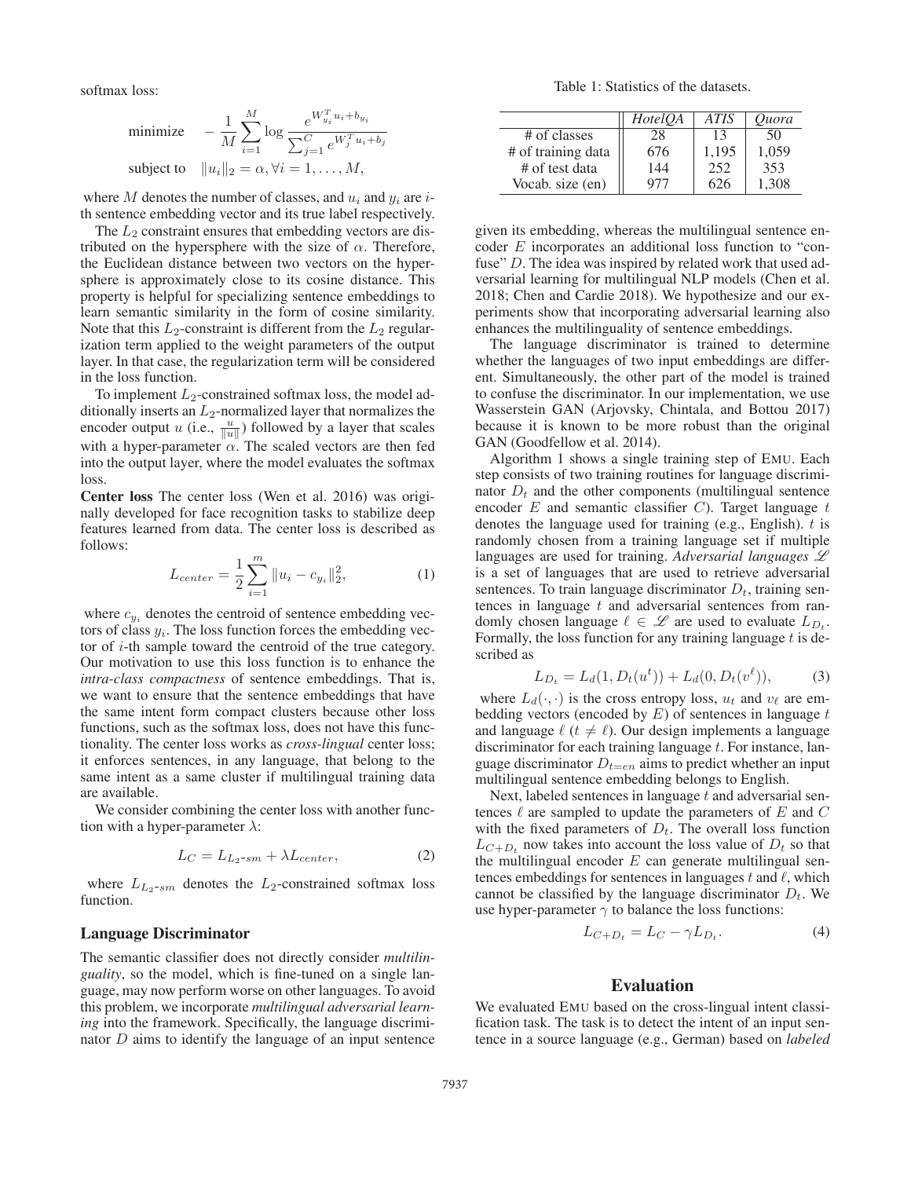softmax loss:

minimize 
$$
-\frac{1}{M} \sum_{i=1}^{M} \log \frac{e^{W_{y_i}^T u_i + b_{y_i}}}{\sum_{j=1}^{C} e^{W_j^T u_i + b_j}}
$$
subject to 
$$
||u_i||_2 = \alpha, \forall i = 1, ..., M,
$$

where M denotes the number of classes, and  $u_i$  and  $y_i$  are ith sentence embedding vector and its true label respectively.

The  $L_2$  constraint ensures that embedding vectors are distributed on the hypersphere with the size of  $\alpha$ . Therefore, the Euclidean distance between two vectors on the hypersphere is approximately close to its cosine distance. This property is helpful for specializing sentence embeddings to learn semantic similarity in the form of cosine similarity. Note that this  $L_2$ -constraint is different from the  $L_2$  regularization term applied to the weight parameters of the output layer. In that case, the regularization term will be considered in the loss function.

To implement  $L_2$ -constrained softmax loss, the model additionally inserts an  $L_2$ -normalized layer that normalizes the encoder output u (i.e.,  $\frac{u}{\|u\|}$ ) followed by a layer that scales with a hyper-parameter  $\alpha$ . The scaled vectors are then fed into the output layer, where the model evaluates the softmax loss.

Center loss The center loss (Wen et al. 2016) was originally developed for face recognition tasks to stabilize deep features learned from data. The center loss is described as follows:

$$
L_{center} = \frac{1}{2} \sum_{i=1}^{m} ||u_i - c_{y_i}||_2^2,
$$
 (1)

where  $c_{y_i}$  denotes the centroid of sentence embedding vectors of class  $y_i$ . The loss function forces the embedding vector of i-th sample toward the centroid of the true category. Our motivation to use this loss function is to enhance the *intra-class compactness* of sentence embeddings. That is, we want to ensure that the sentence embeddings that have the same intent form compact clusters because other loss functions, such as the softmax loss, does not have this functionality. The center loss works as *cross-lingual* center loss; it enforces sentences, in any language, that belong to the same intent as a same cluster if multilingual training data are available.

We consider combining the center loss with another function with a hyper-parameter  $\lambda$ :

$$
L_C = L_{L_2-sm} + \lambda L_{center},\tag{2}
$$

where  $L_{L_2\text{-}sm}$  denotes the  $L_2$ -constrained softmax loss function.

#### Language Discriminator

The semantic classifier does not directly consider *multilinguality*, so the model, which is fine-tuned on a single language, may now perform worse on other languages. To avoid this problem, we incorporate *multilingual adversarial learning* into the framework. Specifically, the language discriminator D aims to identify the language of an input sentence

Table 1: Statistics of the datasets.

|                    | <i>HotelOA</i> | <b>ATIS</b> | Ouora |
|--------------------|----------------|-------------|-------|
| # of classes       | 28             | 13          | 50    |
| # of training data | 676            | 1.195       | 1,059 |
| # of test data     | 144            | 252         | 353   |
| Vocab. size (en)   | 977            | 626         | 1.308 |

given its embedding, whereas the multilingual sentence encoder E incorporates an additional loss function to "confuse" D. The idea was inspired by related work that used adversarial learning for multilingual NLP models (Chen et al. 2018; Chen and Cardie 2018). We hypothesize and our experiments show that incorporating adversarial learning also enhances the multilinguality of sentence embeddings.

The language discriminator is trained to determine whether the languages of two input embeddings are different. Simultaneously, the other part of the model is trained to confuse the discriminator. In our implementation, we use Wasserstein GAN (Arjovsky, Chintala, and Bottou 2017) because it is known to be more robust than the original GAN (Goodfellow et al. 2014).

Algorithm 1 shows a single training step of EMU. Each step consists of two training routines for language discriminator  $D_t$  and the other components (multilingual sentence encoder  $E$  and semantic classifier  $C$ ). Target language  $t$ denotes the language used for training (e.g., English).  $t$  is randomly chosen from a training language set if multiple languages are used for training. *Adversarial languages* L is a set of languages that are used to retrieve adversarial sentences. To train language discriminator  $D_t$ , training sentences in language  $t$  and adversarial sentences from randomly chosen language  $\ell \in \mathscr{L}$  are used to evaluate  $L_{D_{\ell}}$ . Formally, the loss function for any training language  $t$  is described as

$$
L_{D_t} = L_d(1, D_t(u^t)) + L_d(0, D_t(v^\ell)),
$$
 (3)

where  $L_d(\cdot, \cdot)$  is the cross entropy loss,  $u_t$  and  $v_\ell$  are em-<br>bedding vectors (encoded by E) of sentences in language t bedding vectors (encoded by  $E$ ) of sentences in language  $t$ and language  $\ell$  ( $t \neq \ell$ ). Our design implements a language discriminator for each training language  $t$ . For instance, language discriminator  $D_{t=en}$  aims to predict whether an input multilingual sentence embedding belongs to English.

Next, labeled sentences in language t and adversarial sentences  $\ell$  are sampled to update the parameters of E and C with the fixed parameters of  $D_t$ . The overall loss function  $L_{C+D_t}$  now takes into account the loss value of  $D_t$  so that the multilingual encoder  $E$  can generate multilingual sentences embeddings for sentences in languages t and  $\ell$ , which cannot be classified by the language discriminator  $D_t$ . We use hyper-parameter  $\gamma$  to balance the loss functions:

$$
L_{C+D_t} = L_C - \gamma L_{D_t}.
$$
\n(4)

## Evaluation

We evaluated EMU based on the cross-lingual intent classification task. The task is to detect the intent of an input sentence in a source language (e.g., German) based on *labeled*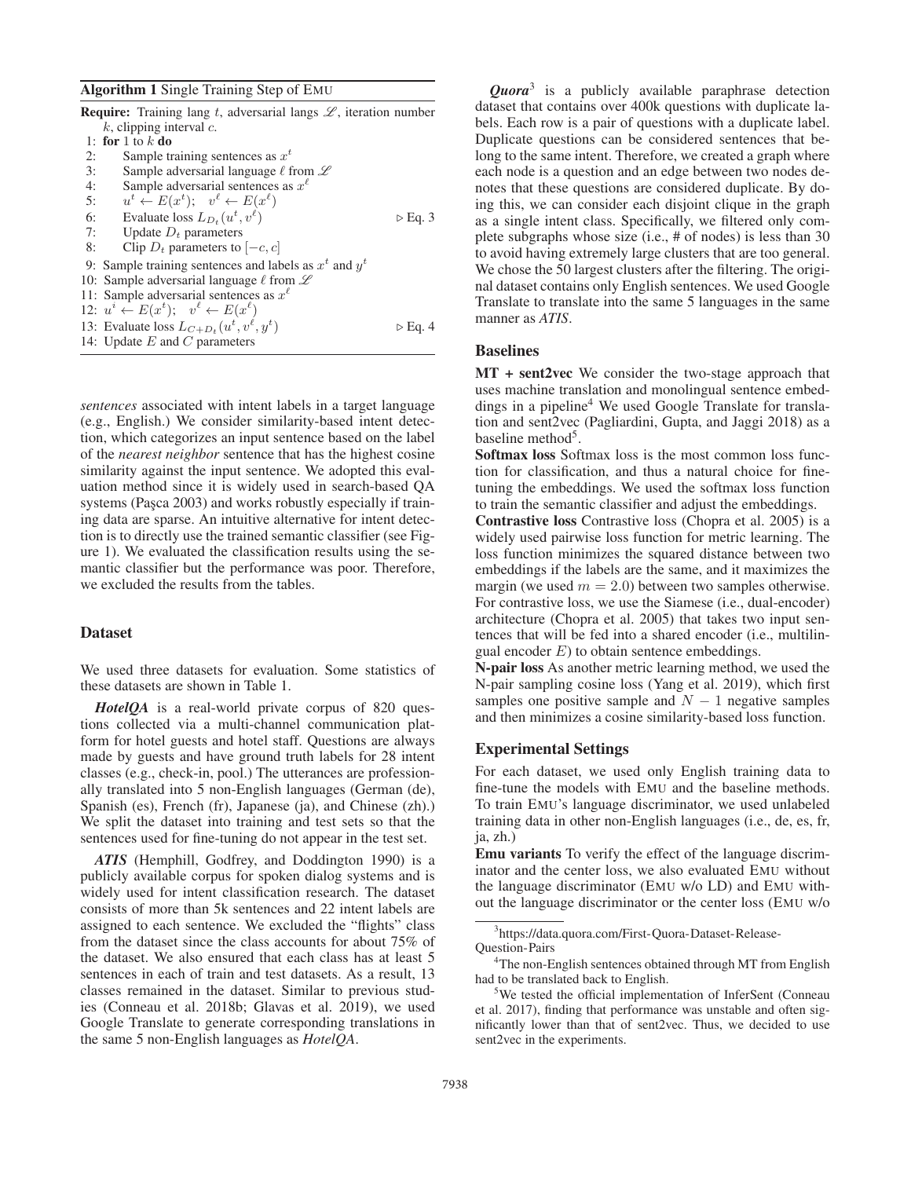#### Algorithm 1 Single Training Step of EMU

|    | <b>Require:</b> Training lang t, adversarial langs $\mathcal{L}$ , iteration number |                        |
|----|-------------------------------------------------------------------------------------|------------------------|
|    | $k$ , clipping interval $c$ .                                                       |                        |
|    | 1: for 1 to $k$ do                                                                  |                        |
| 2: | Sample training sentences as $x^t$                                                  |                        |
| 3: | Sample adversarial language $\ell$ from $\mathscr L$                                |                        |
| 4: | Sample adversarial sentences as $x^{\ell}$                                          |                        |
| 5: | $u^t \leftarrow E(x^t); \quad v^{\ell} \leftarrow E(x^{\ell})$                      |                        |
| 6: | Evaluate loss $L_{D_t}(u^t, v^{\ell})$                                              | $\triangleright$ Eq. 3 |
| 7: | Update $D_t$ parameters                                                             |                        |
| 8: | Clip $D_t$ parameters to $[-c, c]$                                                  |                        |
|    | 9: Sample training sentences and labels as $x^t$ and $y^t$                          |                        |
|    | 10: Sample adversarial language $\ell$ from $\mathscr L$                            |                        |
|    | 11: Sample adversarial sentences as $x^{\ell}$                                      |                        |
|    | 12: $u^i \leftarrow E(x^t); \quad v^{\ell} \leftarrow E(x^{\ell})$                  |                        |
|    | 13: Evaluate loss $L_{C+D_t}(u^t, v^{\ell}, y^t)$                                   | $\triangleright$ Eq. 4 |
|    | 14: Update $E$ and $C$ parameters                                                   |                        |

*sentences* associated with intent labels in a target language (e.g., English.) We consider similarity-based intent detection, which categorizes an input sentence based on the label of the *nearest neighbor* sentence that has the highest cosine similarity against the input sentence. We adopted this evaluation method since it is widely used in search-based QA systems (Paşca 2003) and works robustly especially if training data are sparse. An intuitive alternative for intent detection is to directly use the trained semantic classifier (see Figure 1). We evaluated the classification results using the semantic classifier but the performance was poor. Therefore, we excluded the results from the tables.

### Dataset

We used three datasets for evaluation. Some statistics of these datasets are shown in Table 1.

*HotelQA* is a real-world private corpus of 820 questions collected via a multi-channel communication platform for hotel guests and hotel staff. Questions are always made by guests and have ground truth labels for 28 intent classes (e.g., check-in, pool.) The utterances are professionally translated into 5 non-English languages (German (de), Spanish (es), French (fr), Japanese (ja), and Chinese (zh).) We split the dataset into training and test sets so that the sentences used for fine-tuning do not appear in the test set.

*ATIS* (Hemphill, Godfrey, and Doddington 1990) is a publicly available corpus for spoken dialog systems and is widely used for intent classification research. The dataset consists of more than 5k sentences and 22 intent labels are assigned to each sentence. We excluded the "flights" class from the dataset since the class accounts for about 75% of the dataset. We also ensured that each class has at least 5 sentences in each of train and test datasets. As a result, 13 classes remained in the dataset. Similar to previous studies (Conneau et al. 2018b; Glavas et al. 2019), we used Google Translate to generate corresponding translations in the same 5 non-English languages as *HotelQA*.

*Quora*<sup>3</sup> is a publicly available paraphrase detection dataset that contains over 400k questions with duplicate labels. Each row is a pair of questions with a duplicate label. Duplicate questions can be considered sentences that belong to the same intent. Therefore, we created a graph where each node is a question and an edge between two nodes denotes that these questions are considered duplicate. By doing this, we can consider each disjoint clique in the graph as a single intent class. Specifically, we filtered only complete subgraphs whose size (i.e., # of nodes) is less than 30 to avoid having extremely large clusters that are too general. We chose the 50 largest clusters after the filtering. The original dataset contains only English sentences. We used Google Translate to translate into the same 5 languages in the same manner as *ATIS*.

### Baselines

MT + sent2vec We consider the two-stage approach that uses machine translation and monolingual sentence embeddings in a pipeline<sup>4</sup> We used Google Translate for translation and sent2vec (Pagliardini, Gupta, and Jaggi 2018) as a baseline method $5$ .

Softmax loss Softmax loss is the most common loss function for classification, and thus a natural choice for finetuning the embeddings. We used the softmax loss function to train the semantic classifier and adjust the embeddings.

Contrastive loss Contrastive loss (Chopra et al. 2005) is a widely used pairwise loss function for metric learning. The loss function minimizes the squared distance between two embeddings if the labels are the same, and it maximizes the margin (we used  $m = 2.0$ ) between two samples otherwise. For contrastive loss, we use the Siamese (i.e., dual-encoder) architecture (Chopra et al. 2005) that takes two input sentences that will be fed into a shared encoder (i.e., multilingual encoder  $E$ ) to obtain sentence embeddings.

N-pair loss As another metric learning method, we used the N-pair sampling cosine loss (Yang et al. 2019), which first samples one positive sample and  $N - 1$  negative samples and then minimizes a cosine similarity-based loss function.

#### Experimental Settings

For each dataset, we used only English training data to fine-tune the models with EMU and the baseline methods. To train EMU's language discriminator, we used unlabeled training data in other non-English languages (i.e., de, es, fr, ja, zh.)

Emu variants To verify the effect of the language discriminator and the center loss, we also evaluated EMU without the language discriminator (EMU w/o LD) and EMU without the language discriminator or the center loss (EMU w/o

<sup>3</sup> https://data.quora.com/First-Quora-Dataset-Release-Question-Pairs

<sup>&</sup>lt;sup>4</sup>The non-English sentences obtained through MT from English had to be translated back to English.

<sup>&</sup>lt;sup>5</sup>We tested the official implementation of InferSent (Conneau et al. 2017), finding that performance was unstable and often significantly lower than that of sent2vec. Thus, we decided to use sent2vec in the experiments.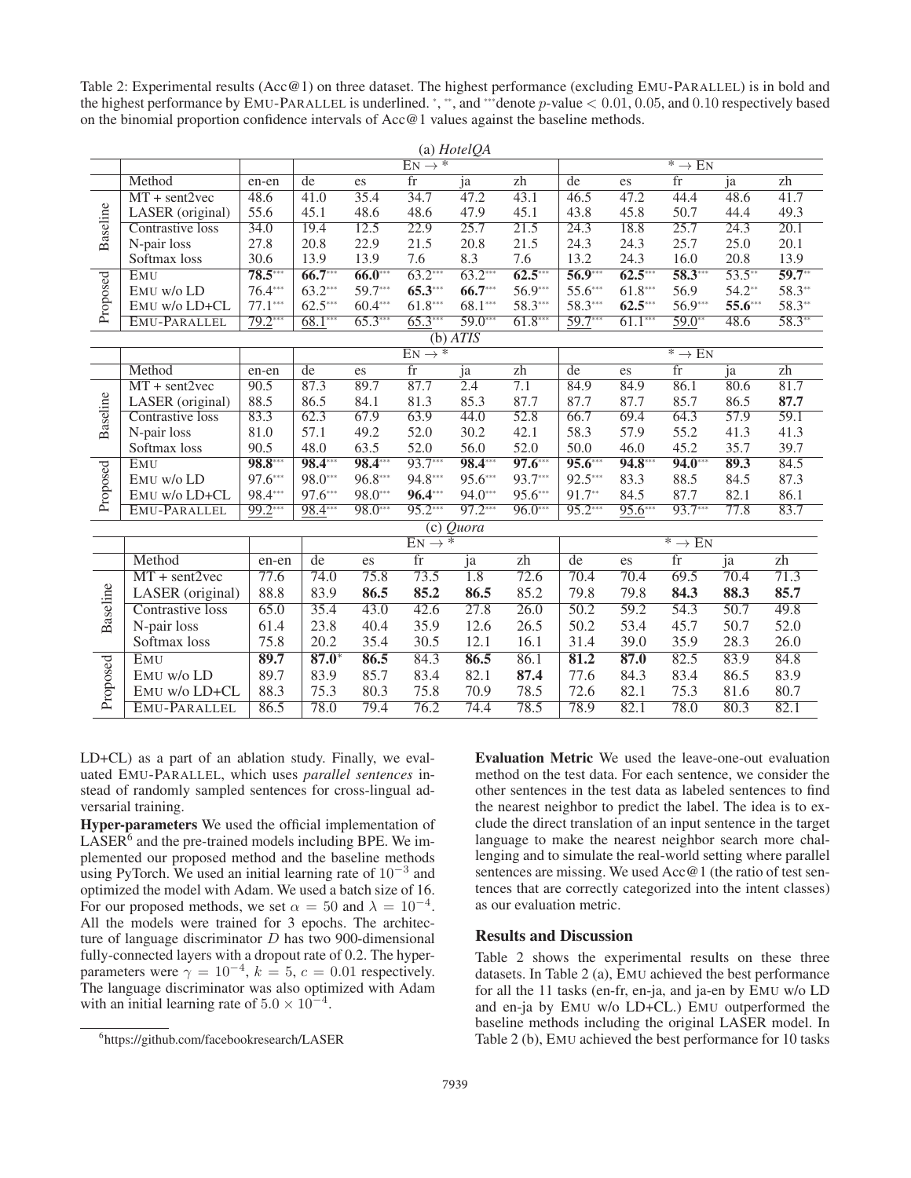Table 2: Experimental results (Acc@1) on three dataset. The highest performance (excluding EMU-PARALLEL) is in bold and the highest performance by EMU-PARALLEL is underlined. \*, \*\*, and \*\*\* denote  $p$ -value  $< 0.01, 0.05$ , and  $0.10$  respectively based on the binomial proportion confidence intervals of Acc@1 values against the baseline methods.

 $(4.1H + 10A)$ 

|          | (a) $\pi$ <i>oletQA</i> |           |           |           |                        |                   |                 |                    |           |                        |                   |                 |
|----------|-------------------------|-----------|-----------|-----------|------------------------|-------------------|-----------------|--------------------|-----------|------------------------|-------------------|-----------------|
|          |                         |           |           |           | $EN \rightarrow$ *     |                   |                 | $* \rightarrow EN$ |           |                        |                   |                 |
|          | Method                  | en-en     | $d$ e     | es        | fr                     | ja                | zh              | de                 | es        | $\overline{\text{fr}}$ | ja                | zh              |
|          | $MT + sent2vec$         | 48.6      | 41.0      | 35.4      | 34.7                   | 47.2              | 43.1            | 46.5               | 47.2      | 44.4                   | 48.6              | 41.7            |
| Baseline | LASER (original)        | 55.6      | 45.1      | 48.6      | 48.6                   | 47.9              | 45.1            | 43.8               | 45.8      | 50.7                   | 44.4              | 49.3            |
|          | Contrastive loss        | 34.0      | 19.4      | 12.5      | 22.9                   | 25.7              | 21.5            | 24.3               | 18.8      | 25.7                   | 24.3              | 20.1            |
|          | N-pair loss             | 27.8      | 20.8      | 22.9      | 21.5                   | 20.8              | 21.5            | 24.3               | 24.3      | 25.7                   | 25.0              | 20.1            |
|          | Softmax loss            | 30.6      | 13.9      | 13.9      | 7.6                    | 8.3               | 7.6             | 13.2               | 24.3      | 16.0                   | 20.8              | 13.9            |
|          | EMU                     | 78.5***   | $66.7***$ | $66.0***$ | $63.2***$              | $63.2***$         | $62.5***$       | $56.9***$          | $62.5***$ | 58.3***                | $53.5***$         | $59.7**$        |
|          | EMU w/o LD              | 76.4***   | 63.2***   | 59.7***   | $65.3***$              | 66.7***           | 56.9***         | 55.6***            | 61.8***   | 56.9                   | 54.2**            | 58.3**          |
| Proposed | EMU W/o LD+CL           | $77.1***$ | $62.5***$ | $60.4***$ | $61.8***$              | 68.1***           | 58.3***         | 58.3***            | $62.5***$ | 56.9***                | 55.6***           | 58.3**          |
|          | EMU-PARALLEL            | $79.2***$ | $68.1***$ | $65.3***$ | $65.3***$              | $59.0***$         | $61.8***$       | $59.7***$          | $61.1***$ | $59.0**$               | 48.6              | $58.3**$        |
|          |                         |           |           |           |                        | (b) ATIS          |                 |                    |           |                        |                   |                 |
|          |                         |           |           |           | $EN \rightarrow$ *     |                   |                 | $* \rightarrow EN$ |           |                        |                   |                 |
|          | Method                  | en-en     | de        | es        | fr                     | ja                | $\overline{zh}$ | de                 | es        | $\overline{\text{fr}}$ | ja                | zh              |
|          | $MT + sent2vec$         | 90.5      | 87.3      | 89.7      | 87.7                   | 2.4               | 7.1             | 84.9               | 84.9      | 86.1                   | 80.6              | 81.7            |
| Baseline | LASER (original)        | 88.5      | 86.5      | 84.1      | 81.3                   | 85.3              | 87.7            | 87.7               | 87.7      | 85.7                   | 86.5              | 87.7            |
|          | Contrastive loss        | 83.3      | 62.3      | 67.9      | 63.9                   | 44.0              | 52.8            | 66.7               | 69.4      | 64.3                   | $\overline{57.9}$ | 59.1            |
|          | N-pair loss             | 81.0      | 57.1      | 49.2      | 52.0                   | 30.2              | 42.1            | 58.3               | 57.9      | 55.2                   | 41.3              | 41.3            |
|          | Softmax loss            | 90.5      | 48.0      | 63.5      | 52.0                   | 56.0              | 52.0            | 50.0               | 46.0      | 45.2                   | 35.7              | 39.7            |
|          | <b>EMU</b>              | 98.8***   | 98.4***   | 98.4***   | 93.7***                | 98.4***           | $97.6***$       | $95.6***$          | $94.8***$ | $94.0***$              | 89.3              | 84.5            |
|          | EMU w/o LD              | 97.6***   | 98.0***   | 96.8***   | 94.8***                | 95.6***           | 93.7***         | 92.5***            | 83.3      | 88.5                   | 84.5              | 87.3            |
| Proposed | EMU W/o LD+CL           | 98.4***   | 97.6***   | 98.0***   | $96.4***$              | $94.0***$         | 95.6***         | 91.7**             | 84.5      | 87.7                   | 82.1              | 86.1            |
|          | EMU-PARALLEL            | $99.2***$ | 98.4***   | 98.0***   | 95.2***                | $97.2***$         | $96.0***$       | 95.2***            | $95.6***$ | 93.7***                | 77.8              | 83.7            |
|          |                         |           |           |           |                        | $(c)$ Quora       |                 |                    |           |                        |                   |                 |
|          |                         |           |           |           | $EN \rightarrow$ *     |                   |                 |                    |           | $* \rightarrow EN$     |                   |                 |
|          | Method                  | en-en     | de        | es        | $\overline{\text{fr}}$ | ja                | $\overline{zh}$ | $\overline{de}$    | es        | $\overline{\text{fr}}$ | ja                | $\overline{zh}$ |
|          | $MT + sent2vec$         | 77.6      | 74.0      | 75.8      | 73.5                   | 1.8               | 72.6            | 70.4               | 70.4      | 69.5                   | 70.4              | 71.3            |
| Baseline | LASER (original)        | 88.8      | 83.9      | 86.5      | 85.2                   | 86.5              | 85.2            | 79.8               | 79.8      | 84.3                   | 88.3              | 85.7            |
|          | Contrastive loss        | 65.0      | 35.4      | 43.0      | 42.6                   | $\overline{27.8}$ | 26.0            | 50.2               | 59.2      | 54.3                   | 50.7              | 49.8            |
|          | N-pair loss             | 61.4      | 23.8      | 40.4      | 35.9                   | 12.6              | 26.5            | 50.2               | 53.4      | 45.7                   | 50.7              | 52.0            |
|          | Softmax loss            | 75.8      | 20.2      | 35.4      | 30.5                   | 12.1              | 16.1            | 31.4               | 39.0      | 35.9                   | 28.3              | 26.0            |
|          | EMU                     | 89.7      | $87.0*$   | 86.5      | 84.3                   | 86.5              | 86.1            | 81.2               | 87.0      | 82.5                   | 83.9              | 84.8            |
|          | EMU w/o LD              | 89.7      | 83.9      | 85.7      | 83.4                   | 82.1              | 87.4            | 77.6               | 84.3      | 83.4                   | 86.5              | 83.9            |
| Proposed | EMU W/o LD+CL           | 88.3      | 75.3      | 80.3      | 75.8                   | 70.9              | 78.5            | 72.6               | 82.1      | 75.3                   | 81.6              | 80.7            |
|          | <b>EMU-PARALLEL</b>     | 86.5      | 78.0      | 79.4      | 76.2                   | 74.4              | 78.5            | 78.9               | 82.1      | 78.0                   | 80.3              | 82.1            |
|          |                         |           |           |           |                        |                   |                 |                    |           |                        |                   |                 |

LD+CL) as a part of an ablation study. Finally, we evaluated EMU-PARALLEL, which uses *parallel sentences* instead of randomly sampled sentences for cross-lingual adversarial training.

Hyper-parameters We used the official implementation of  $LASER<sup>6</sup>$  and the pre-trained models including BPE. We implemented our proposed method and the baseline methods using PyTorch. We used an initial learning rate of <sup>10</sup><sup>−</sup><sup>3</sup> and optimized the model with Adam. We used a batch size of 16. For our proposed methods, we set  $\alpha = 50$  and  $\lambda = 10^{-4}$ . All the models were trained for 3 epochs. The architecture of language discriminator  $D$  has two 900-dimensional fully-connected layers with a dropout rate of 0.2. The hyperparameters were  $\gamma = 10^{-4}$ ,  $k = 5$ ,  $c = 0.01$  respectively. The language discriminator was also optimized with Adam with an initial learning rate of  $5.0 \times 10^{-4}$ .

Evaluation Metric We used the leave-one-out evaluation method on the test data. For each sentence, we consider the other sentences in the test data as labeled sentences to find the nearest neighbor to predict the label. The idea is to exclude the direct translation of an input sentence in the target language to make the nearest neighbor search more challenging and to simulate the real-world setting where parallel sentences are missing. We used  $Acc@1$  (the ratio of test sentences that are correctly categorized into the intent classes) as our evaluation metric.

### Results and Discussion

Table 2 shows the experimental results on these three datasets. In Table 2 (a), EMU achieved the best performance for all the 11 tasks (en-fr, en-ja, and ja-en by EMU w/o LD and en-ja by EMU w/o LD+CL.) EMU outperformed the baseline methods including the original LASER model. In Table 2 (b), EMU achieved the best performance for 10 tasks

<sup>6</sup> https://github.com/facebookresearch/LASER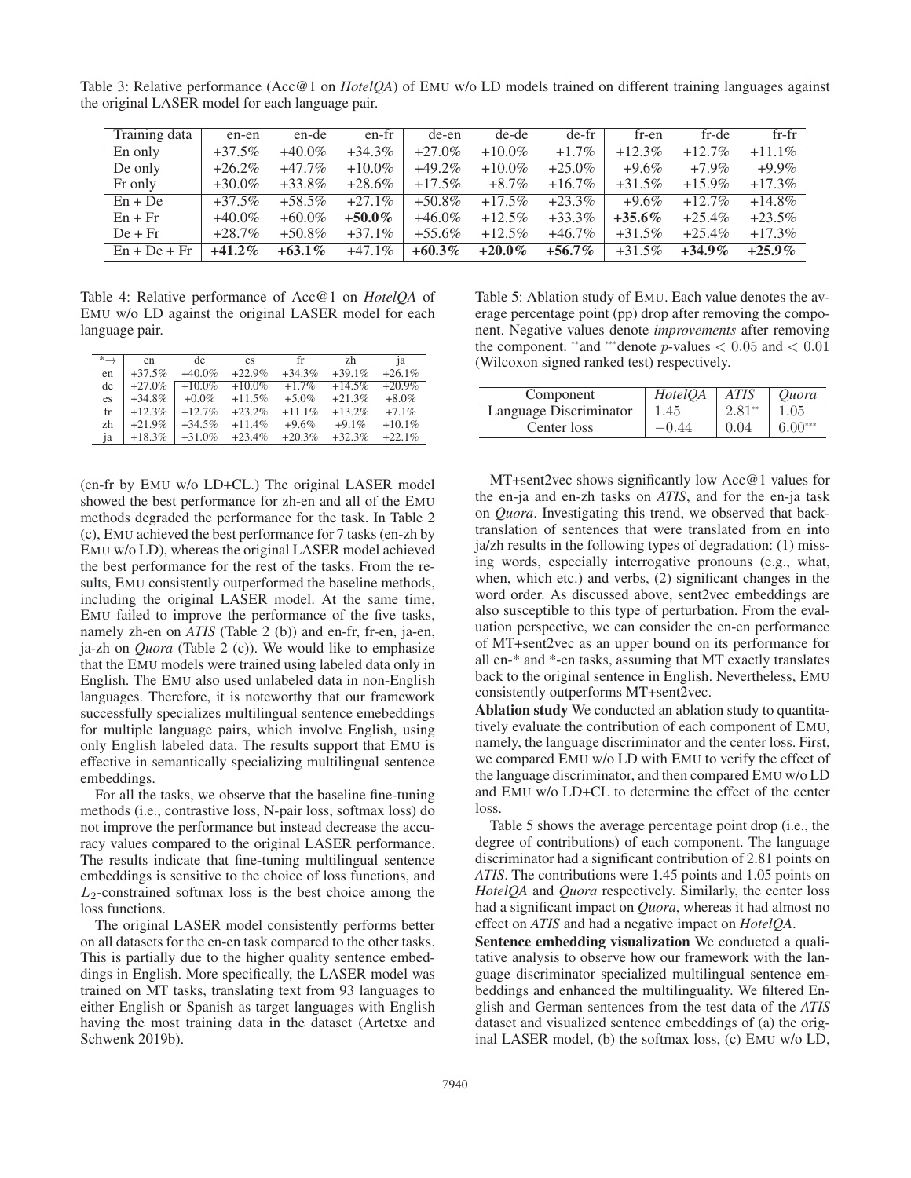Table 3: Relative performance (Acc@1 on *HotelQA*) of EMU w/o LD models trained on different training languages against the original LASER model for each language pair.

| Training data  | en-en     | en-de     | en-fr     | de-en     | de-de     | de-fr     | fr-en     | fr-de     | $fr-fr$   |
|----------------|-----------|-----------|-----------|-----------|-----------|-----------|-----------|-----------|-----------|
| En only        | $+37.5%$  | $+40.0\%$ | $+34.3\%$ | $+27.0%$  | $+10.0\%$ | $+1.7\%$  | $+12.3\%$ | $+12.7\%$ | $+11.1\%$ |
| De only        | $+26.2\%$ | $+47.7\%$ | $+10.0\%$ | $+49.2%$  | $+10.0\%$ | $+25.0\%$ | $+9.6\%$  | $+7.9\%$  | $+9.9\%$  |
| Fr only        | $+30.0\%$ | $+33.8\%$ | $+28.6\%$ | $+17.5\%$ | $+8.7\%$  | $+16.7\%$ | $+31.5%$  | $+15.9\%$ | $+17.3\%$ |
| $En + De$      | $+37.5%$  | $+58.5\%$ | $+27.1\%$ | $+50.8\%$ | $+17.5\%$ | $+23.3\%$ | $+9.6\%$  | $+12.7\%$ | $+14.8\%$ |
| $En + Fr$      | $+40.0\%$ | $+60.0\%$ | $+50.0\%$ | $+46.0\%$ | $+12.5\%$ | $+33.3\%$ | $+35.6\%$ | $+25.4\%$ | $+23.5\%$ |
| $De + Fr$      | $+28.7\%$ | $+50.8\%$ | $+37.1\%$ | $+55.6\%$ | $+12.5\%$ | $+46.7\%$ | $+31.5%$  | $+25.4\%$ | $+17.3\%$ |
| $En + De + Fr$ | $+41.2\%$ | $+63.1\%$ | $+47.1\%$ | $+60.3\%$ | $+20.0\%$ | $+56.7\%$ | $+31.5\%$ | $+34.9\%$ | $+25.9\%$ |

Table 4: Relative performance of Acc@1 on *HotelQA* of EMU w/o LD against the original LASER model for each language pair.

| $*$ $\rightarrow$ | en        | de.       | es        | fr        | zh        | 1a       |
|-------------------|-----------|-----------|-----------|-----------|-----------|----------|
| en                | $+37.5%$  | $+40.0\%$ | $+22.9%$  | $+34.3%$  | $+39.1%$  | $+26.1%$ |
| de                | $+27.0%$  | $+10.0%$  | $+10.0\%$ | $+1.7\%$  | $+14.5%$  | $+20.9%$ |
| es                | $+34.8\%$ | $+0.0\%$  | $+11.5%$  | $+5.0\%$  | $+21.3%$  | $+8.0\%$ |
| fr                | $+12.3%$  | $+12.7%$  | $+23.2\%$ | $+11.1\%$ | $+13.2\%$ | $+7.1\%$ |
| zh                | $+21.9%$  | $+34.5%$  | $+11.4\%$ | $+9.6%$   | $+9.1\%$  | $+10.1%$ |
| ja                | $+18.3%$  | $+31.0%$  | $+23.4\%$ | $+20.3%$  | $+32.3%$  | $+22.1%$ |

(en-fr by EMU w/o LD+CL.) The original LASER model showed the best performance for zh-en and all of the EMU methods degraded the performance for the task. In Table 2 (c), EMU achieved the best performance for 7 tasks (en-zh by EMU w/o LD), whereas the original LASER model achieved the best performance for the rest of the tasks. From the results, EMU consistently outperformed the baseline methods, including the original LASER model. At the same time, EMU failed to improve the performance of the five tasks, namely zh-en on *ATIS* (Table 2 (b)) and en-fr, fr-en, ja-en, ja-zh on *Quora* (Table 2 (c)). We would like to emphasize that the EMU models were trained using labeled data only in English. The EMU also used unlabeled data in non-English languages. Therefore, it is noteworthy that our framework successfully specializes multilingual sentence emebeddings for multiple language pairs, which involve English, using only English labeled data. The results support that EMU is effective in semantically specializing multilingual sentence embeddings.

For all the tasks, we observe that the baseline fine-tuning methods (i.e., contrastive loss, N-pair loss, softmax loss) do not improve the performance but instead decrease the accuracy values compared to the original LASER performance. The results indicate that fine-tuning multilingual sentence embeddings is sensitive to the choice of loss functions, and  $L_2$ -constrained softmax loss is the best choice among the loss functions.

The original LASER model consistently performs better on all datasets for the en-en task compared to the other tasks. This is partially due to the higher quality sentence embeddings in English. More specifically, the LASER model was trained on MT tasks, translating text from 93 languages to either English or Spanish as target languages with English having the most training data in the dataset (Artetxe and Schwenk 2019b).

Table 5: Ablation study of EMU. Each value denotes the average percentage point (pp) drop after removing the component. Negative values denote *improvements* after removing the component. \*\*and \*\*\*denote p-values  $< 0.05$  and  $< 0.01$ (Wilcoxon signed ranked test) respectively.

| Component              | <i>HotelOA</i> | <b>ATIS</b> | <i>Ouora</i> |
|------------------------|----------------|-------------|--------------|
| Language Discriminator | 1.45           |             | .05          |
| Center loss            |                | 0.04        | $6.00***$    |
|                        |                |             |              |

MT+sent2vec shows significantly low Acc@1 values for the en-ja and en-zh tasks on *ATIS*, and for the en-ja task on *Quora*. Investigating this trend, we observed that backtranslation of sentences that were translated from en into ja/zh results in the following types of degradation: (1) missing words, especially interrogative pronouns (e.g., what, when, which etc.) and verbs, (2) significant changes in the word order. As discussed above, sent2vec embeddings are also susceptible to this type of perturbation. From the evaluation perspective, we can consider the en-en performance of MT+sent2vec as an upper bound on its performance for all en-\* and \*-en tasks, assuming that MT exactly translates back to the original sentence in English. Nevertheless, EMU consistently outperforms MT+sent2vec.

Ablation study We conducted an ablation study to quantitatively evaluate the contribution of each component of EMU, namely, the language discriminator and the center loss. First, we compared EMU w/o LD with EMU to verify the effect of the language discriminator, and then compared EMU w/o LD and EMU w/o LD+CL to determine the effect of the center loss.

Table 5 shows the average percentage point drop (i.e., the degree of contributions) of each component. The language discriminator had a significant contribution of 2.81 points on *ATIS*. The contributions were 1.45 points and 1.05 points on *HotelQA* and *Quora* respectively. Similarly, the center loss had a significant impact on *Quora*, whereas it had almost no effect on *ATIS* and had a negative impact on *HotelQA*.

Sentence embedding visualization We conducted a qualitative analysis to observe how our framework with the language discriminator specialized multilingual sentence embeddings and enhanced the multilinguality. We filtered English and German sentences from the test data of the *ATIS* dataset and visualized sentence embeddings of (a) the original LASER model, (b) the softmax loss, (c) EMU w/o LD,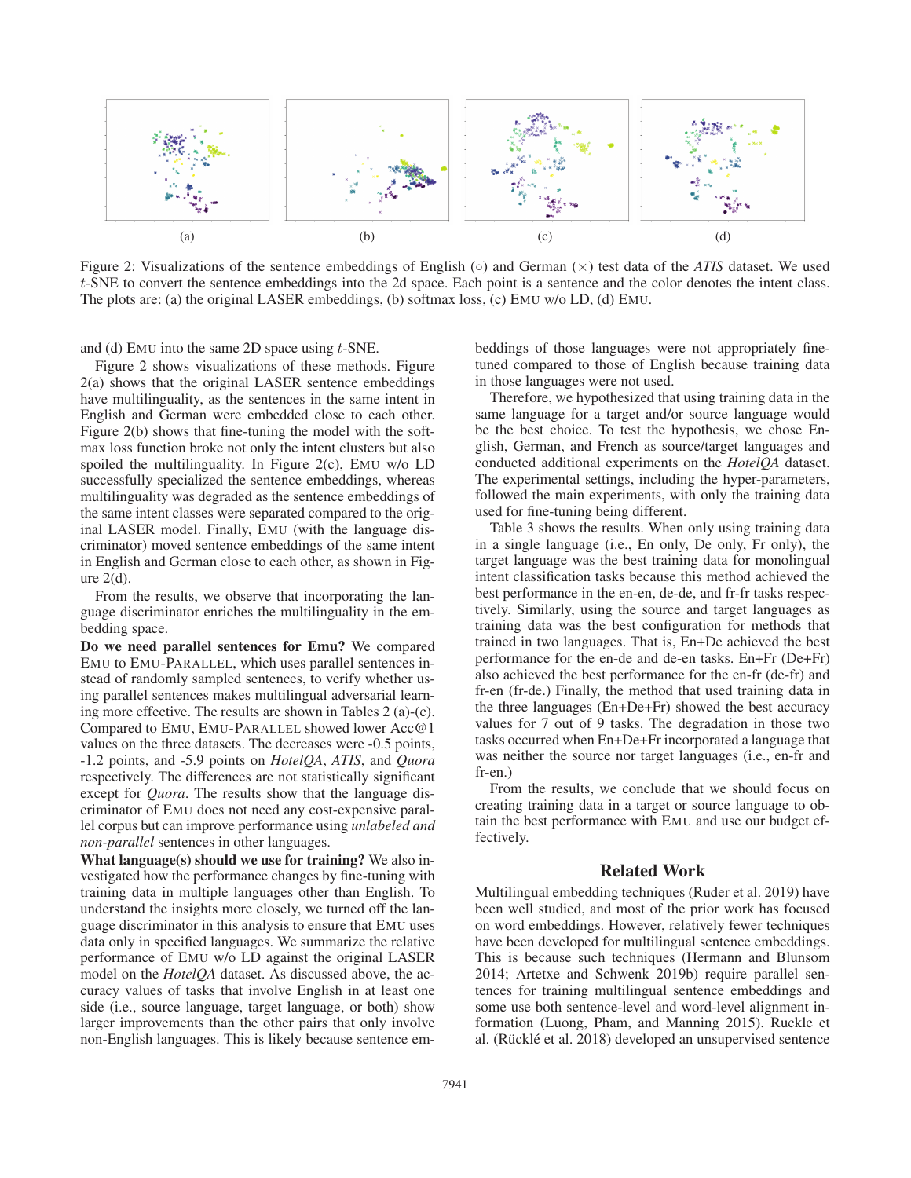

Figure 2: Visualizations of the sentence embeddings of English (◦) and German (×) test data of the *ATIS* dataset. We used t-SNE to convert the sentence embeddings into the 2d space. Each point is a sentence and the color denotes the intent class. The plots are: (a) the original LASER embeddings, (b) softmax loss, (c) EMU w/o LD, (d) EMU.

and (d) EMU into the same 2D space using  $t$ -SNE.

Figure 2 shows visualizations of these methods. Figure 2(a) shows that the original LASER sentence embeddings have multilinguality, as the sentences in the same intent in English and German were embedded close to each other. Figure 2(b) shows that fine-tuning the model with the softmax loss function broke not only the intent clusters but also spoiled the multilinguality. In Figure 2(c), EMU w/o LD successfully specialized the sentence embeddings, whereas multilinguality was degraded as the sentence embeddings of the same intent classes were separated compared to the original LASER model. Finally, EMU (with the language discriminator) moved sentence embeddings of the same intent in English and German close to each other, as shown in Figure  $2(d)$ .

From the results, we observe that incorporating the language discriminator enriches the multilinguality in the embedding space.

Do we need parallel sentences for Emu? We compared EMU to EMU-PARALLEL, which uses parallel sentences instead of randomly sampled sentences, to verify whether using parallel sentences makes multilingual adversarial learning more effective. The results are shown in Tables 2 (a)-(c). Compared to EMU, EMU-PARALLEL showed lower Acc@1 values on the three datasets. The decreases were -0.5 points, -1.2 points, and -5.9 points on *HotelQA*, *ATIS*, and *Quora* respectively. The differences are not statistically significant except for *Quora*. The results show that the language discriminator of EMU does not need any cost-expensive parallel corpus but can improve performance using *unlabeled and non-parallel* sentences in other languages.

What language(s) should we use for training? We also investigated how the performance changes by fine-tuning with training data in multiple languages other than English. To understand the insights more closely, we turned off the language discriminator in this analysis to ensure that EMU uses data only in specified languages. We summarize the relative performance of EMU w/o LD against the original LASER model on the *HotelQA* dataset. As discussed above, the accuracy values of tasks that involve English in at least one side (i.e., source language, target language, or both) show larger improvements than the other pairs that only involve non-English languages. This is likely because sentence embeddings of those languages were not appropriately finetuned compared to those of English because training data in those languages were not used.

Therefore, we hypothesized that using training data in the same language for a target and/or source language would be the best choice. To test the hypothesis, we chose English, German, and French as source/target languages and conducted additional experiments on the *HotelQA* dataset. The experimental settings, including the hyper-parameters, followed the main experiments, with only the training data used for fine-tuning being different.

Table 3 shows the results. When only using training data in a single language (i.e., En only, De only, Fr only), the target language was the best training data for monolingual intent classification tasks because this method achieved the best performance in the en-en, de-de, and fr-fr tasks respectively. Similarly, using the source and target languages as training data was the best configuration for methods that trained in two languages. That is, En+De achieved the best performance for the en-de and de-en tasks. En+Fr (De+Fr) also achieved the best performance for the en-fr (de-fr) and fr-en (fr-de.) Finally, the method that used training data in the three languages (En+De+Fr) showed the best accuracy values for 7 out of 9 tasks. The degradation in those two tasks occurred when En+De+Fr incorporated a language that was neither the source nor target languages (i.e., en-fr and fr-en.)

From the results, we conclude that we should focus on creating training data in a target or source language to obtain the best performance with EMU and use our budget effectively.

### Related Work

Multilingual embedding techniques (Ruder et al. 2019) have been well studied, and most of the prior work has focused on word embeddings. However, relatively fewer techniques have been developed for multilingual sentence embeddings. This is because such techniques (Hermann and Blunsom 2014; Artetxe and Schwenk 2019b) require parallel sentences for training multilingual sentence embeddings and some use both sentence-level and word-level alignment information (Luong, Pham, and Manning 2015). Ruckle et al. (Rücklé et al. 2018) developed an unsupervised sentence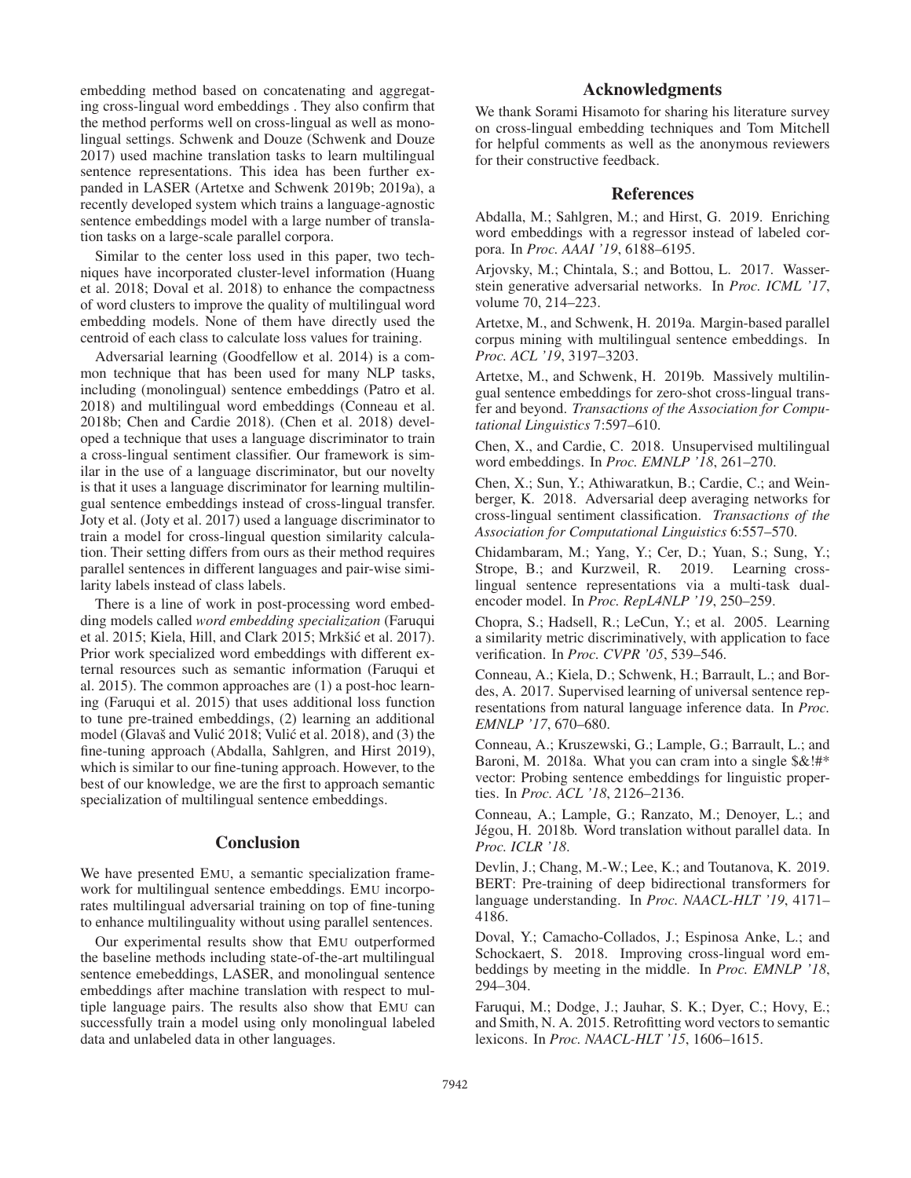embedding method based on concatenating and aggregating cross-lingual word embeddings . They also confirm that the method performs well on cross-lingual as well as monolingual settings. Schwenk and Douze (Schwenk and Douze 2017) used machine translation tasks to learn multilingual sentence representations. This idea has been further expanded in LASER (Artetxe and Schwenk 2019b; 2019a), a recently developed system which trains a language-agnostic sentence embeddings model with a large number of translation tasks on a large-scale parallel corpora.

Similar to the center loss used in this paper, two techniques have incorporated cluster-level information (Huang et al. 2018; Doval et al. 2018) to enhance the compactness of word clusters to improve the quality of multilingual word embedding models. None of them have directly used the centroid of each class to calculate loss values for training.

Adversarial learning (Goodfellow et al. 2014) is a common technique that has been used for many NLP tasks, including (monolingual) sentence embeddings (Patro et al. 2018) and multilingual word embeddings (Conneau et al. 2018b; Chen and Cardie 2018). (Chen et al. 2018) developed a technique that uses a language discriminator to train a cross-lingual sentiment classifier. Our framework is similar in the use of a language discriminator, but our novelty is that it uses a language discriminator for learning multilingual sentence embeddings instead of cross-lingual transfer. Joty et al. (Joty et al. 2017) used a language discriminator to train a model for cross-lingual question similarity calculation. Their setting differs from ours as their method requires parallel sentences in different languages and pair-wise similarity labels instead of class labels.

There is a line of work in post-processing word embedding models called *word embedding specialization* (Faruqui et al. 2015; Kiela, Hill, and Clark 2015; Mrkšić et al. 2017). Prior work specialized word embeddings with different external resources such as semantic information (Faruqui et al. 2015). The common approaches are (1) a post-hoc learning (Faruqui et al. 2015) that uses additional loss function to tune pre-trained embeddings, (2) learning an additional model (Glavaš and Vulić 2018; Vulić et al. 2018), and (3) the fine-tuning approach (Abdalla, Sahlgren, and Hirst 2019), which is similar to our fine-tuning approach. However, to the best of our knowledge, we are the first to approach semantic specialization of multilingual sentence embeddings.

### **Conclusion**

We have presented EMU, a semantic specialization framework for multilingual sentence embeddings. EMU incorporates multilingual adversarial training on top of fine-tuning to enhance multilinguality without using parallel sentences.

Our experimental results show that EMU outperformed the baseline methods including state-of-the-art multilingual sentence emebeddings, LASER, and monolingual sentence embeddings after machine translation with respect to multiple language pairs. The results also show that EMU can successfully train a model using only monolingual labeled data and unlabeled data in other languages.

# Acknowledgments

We thank Sorami Hisamoto for sharing his literature survey on cross-lingual embedding techniques and Tom Mitchell for helpful comments as well as the anonymous reviewers for their constructive feedback.

### References

Abdalla, M.; Sahlgren, M.; and Hirst, G. 2019. Enriching word embeddings with a regressor instead of labeled corpora. In *Proc. AAAI '19*, 6188–6195.

Arjovsky, M.; Chintala, S.; and Bottou, L. 2017. Wasserstein generative adversarial networks. In *Proc. ICML '17*, volume 70, 214–223.

Artetxe, M., and Schwenk, H. 2019a. Margin-based parallel corpus mining with multilingual sentence embeddings. In *Proc. ACL '19*, 3197–3203.

Artetxe, M., and Schwenk, H. 2019b. Massively multilingual sentence embeddings for zero-shot cross-lingual transfer and beyond. *Transactions of the Association for Computational Linguistics* 7:597–610.

Chen, X., and Cardie, C. 2018. Unsupervised multilingual word embeddings. In *Proc. EMNLP '18*, 261–270.

Chen, X.; Sun, Y.; Athiwaratkun, B.; Cardie, C.; and Weinberger, K. 2018. Adversarial deep averaging networks for cross-lingual sentiment classification. *Transactions of the Association for Computational Linguistics* 6:557–570.

Chidambaram, M.; Yang, Y.; Cer, D.; Yuan, S.; Sung, Y.; Strope, B.; and Kurzweil, R. 2019. Learning crosslingual sentence representations via a multi-task dualencoder model. In *Proc. RepL4NLP '19*, 250–259.

Chopra, S.; Hadsell, R.; LeCun, Y.; et al. 2005. Learning a similarity metric discriminatively, with application to face verification. In *Proc. CVPR '05*, 539–546.

Conneau, A.; Kiela, D.; Schwenk, H.; Barrault, L.; and Bordes, A. 2017. Supervised learning of universal sentence representations from natural language inference data. In *Proc. EMNLP '17*, 670–680.

Conneau, A.; Kruszewski, G.; Lample, G.; Barrault, L.; and Baroni, M. 2018a. What you can cram into a single  $\&$ !#\* vector: Probing sentence embeddings for linguistic properties. In *Proc. ACL '18*, 2126–2136.

Conneau, A.; Lample, G.; Ranzato, M.; Denoyer, L.; and Jégou, H. 2018b. Word translation without parallel data. In *Proc. ICLR '18*.

Devlin, J.; Chang, M.-W.; Lee, K.; and Toutanova, K. 2019. BERT: Pre-training of deep bidirectional transformers for language understanding. In *Proc. NAACL-HLT '19*, 4171– 4186.

Doval, Y.; Camacho-Collados, J.; Espinosa Anke, L.; and Schockaert, S. 2018. Improving cross-lingual word embeddings by meeting in the middle. In *Proc. EMNLP '18*, 294–304.

Faruqui, M.; Dodge, J.; Jauhar, S. K.; Dyer, C.; Hovy, E.; and Smith, N. A. 2015. Retrofitting word vectors to semantic lexicons. In *Proc. NAACL-HLT '15*, 1606–1615.